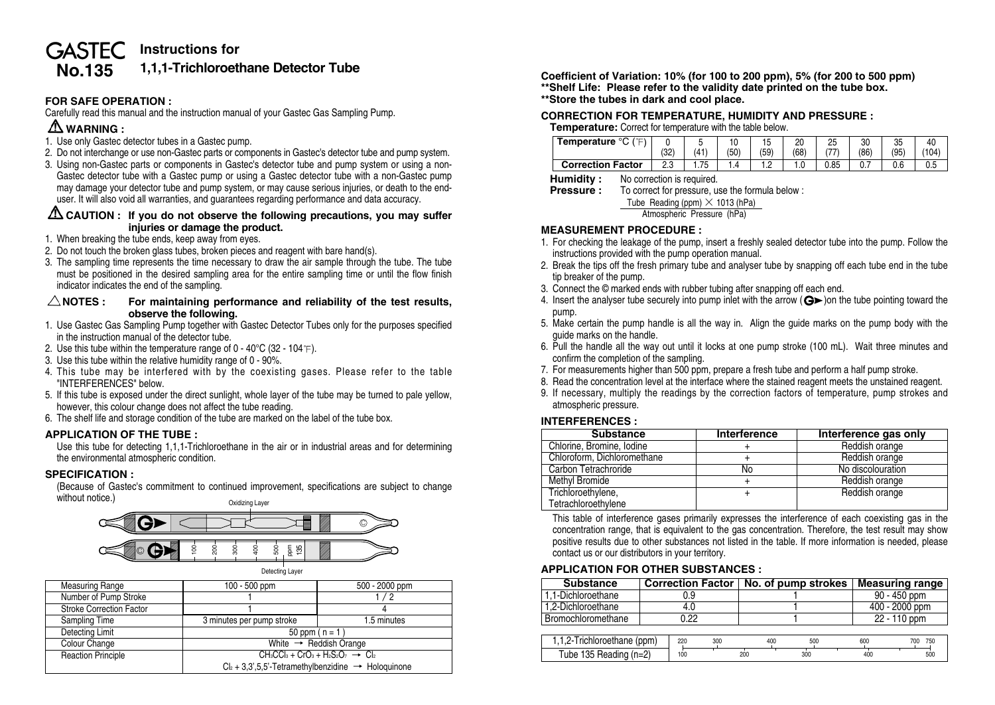# **Instructions for GASTEC No.135 1,1,1-Trichloroethane Detector Tube**

# **FOR SAFE OPERATION :**

Carefully read this manual and the instruction manual of your Gastec Gas Sampling Pump.

# **WARNING :**

- 1. Use only Gastec detector tubes in a Gastec pump.
- 2. Do not interchange or use non-Gastec parts or components in Gastec's detector tube and pump system.
- 3. Using non-Gastec parts or components in Gastec's detector tube and pump system or using a non-Gastec detector tube with a Gastec pump or using a Gastec detector tube with a non-Gastec pump may damage your detector tube and pump system, or may cause serious injuries, or death to the enduser. It will also void all warranties, and guarantees regarding performance and data accuracy.

## **CAUTION : If you do not observe the following precautions, you may suffer injuries or damage the product.**

- 1. When breaking the tube ends, keep away from eyes.
- 2. Do not touch the broken glass tubes, broken pieces and reagent with bare hand(s).
- 3. The sampling time represents the time necessary to draw the air sample through the tube. The tube must be positioned in the desired sampling area for the entire sampling time or until the flow finish indicator indicates the end of the sampling.

### $\triangle$  NOTES : For maintaining performance and reliability of the test results. **observe the following.**

- 1. Use Gastec Gas Sampling Pump together with Gastec Detector Tubes only for the purposes specified in the instruction manual of the detector tube.
- 2. Use this tube within the temperature range of 0 40 $\degree$ C (32 104 $\degree$ F).
- 3. Use this tube within the relative humidity range of 0 90%.
- 4. This tube may be interfered with by the coexisting gases. Please refer to the table "INTERFERENCES" below.
- 5. If this tube is exposed under the direct sunlight, whole layer of the tube may be turned to pale yellow, however, this colour change does not affect the tube reading.
- 6. The shelf life and storage condition of the tube are marked on the label of the tube box.

# **APPLICATION OF THE TUBE :**

Use this tube for detecting 1,1,1-Trichloroethane in the air or in industrial areas and for determining the environmental atmospheric condition.

# **SPECIFICATION :**

(Because of Gastec's commitment to continued improvement, specifications are subject to change without notice.) Oxidizing Layer



| <b>Measuring Range</b>          | 100 - 500 ppm                                                      | 500 - 2000 ppm |  |  |  |
|---------------------------------|--------------------------------------------------------------------|----------------|--|--|--|
| Number of Pump Stroke           |                                                                    | 1/2            |  |  |  |
| <b>Stroke Correction Factor</b> |                                                                    |                |  |  |  |
| Sampling Time                   | 3 minutes per pump stroke                                          | 1.5 minutes    |  |  |  |
| Detecting Limit                 | 50 ppm $(n = 1)$                                                   |                |  |  |  |
| Colour Change                   | White $\rightarrow$ Reddish Orange                                 |                |  |  |  |
| <b>Reaction Principle</b>       | $CH_3CCI_3 + CrO_3 + H_2S_2O_7 \rightarrow Cl_2$                   |                |  |  |  |
|                                 | $Cl_2 + 3,3',5,5'$ -Tetramethylbenzidine $\rightarrow$ Hologuinone |                |  |  |  |

**Coefficient of Variation: 10% (for 100 to 200 ppm), 5% (for 200 to 500 ppm) \*\*Shelf Life: Please refer to the validity date printed on the tube box. \*\*Store the tubes in dark and cool place.**

## **CORRECTION FOR TEMPERATURE, HUMIDITY AND PRESSURE :**

#### **Temperature:** Correct for temperature with the table below.

| $\sim$<br>Temperature    | $\sim$<br>ےت∖        | w<br>.41    | 1 v<br>'50' | ∪ו<br>(59) | 20<br>(68) | つら<br>ت<br>— | 30<br>(86)     | $\sim$<br>ںں<br>(95) | $^{\prime}$ 104) |
|--------------------------|----------------------|-------------|-------------|------------|------------|--------------|----------------|----------------------|------------------|
| <b>Correction Factor</b> | $\sim$ $\sim$<br>ں ے | 75<br>ن ، ، |             | .          |            | 0.85         | $\mathsf{v}$ . | 0.6                  | u.u              |

**Humidity :** No correction is required.

| <b>Pressure:</b> | To correct for pressure, use the formula below: |
|------------------|-------------------------------------------------|
|------------------|-------------------------------------------------|

Tube Reading (ppm)  $\times$  1013 (hPa)

Atmospheric Pressure (hPa)

## **MEASUREMENT PROCEDURE :**

- 1. For checking the leakage of the pump, insert a freshly sealed detector tube into the pump. Follow the instructions provided with the pump operation manual.
- 2. Break the tips off the fresh primary tube and analyser tube by snapping off each tube end in the tube tip breaker of the pump.
- 3. Connect the © marked ends with rubber tubing after snapping off each end.
- 4. Insert the analyser tube securely into pump inlet with the arrow  $(Q)$  on the tube pointing toward the pump.
- 5. Make certain the pump handle is all the way in. Align the guide marks on the pump body with the guide marks on the handle.
- 6. Pull the handle all the way out until it locks at one pump stroke (100 mL). Wait three minutes and confirm the completion of the sampling.
- 7. For measurements higher than 500 ppm, prepare a fresh tube and perform a half pump stroke.
- 8. Read the concentration level at the interface where the stained reagent meets the unstained reagent.
- 9. If necessary, multiply the readings by the correction factors of temperature, pump strokes and atmospheric pressure.

# **INTERFERENCES :**

| <b>Substance</b>            | Interference | Interference gas only |
|-----------------------------|--------------|-----------------------|
| Chlorine, Bromine, Iodine   |              | Reddish orange        |
| Chloroform, Dichloromethane |              | Reddish orange        |
| Carbon Tetrachroride        | No           | No discolouration     |
| Methyl Bromide              |              | Reddish orange        |
| Trichloroethylene,          |              | Reddish orange        |
| Tetrachloroethylene         |              |                       |

This table of interference gases primarily expresses the interference of each coexisting gas in the concentration range, that is equivalent to the gas concentration. Therefore, the test result may show positive results due to other substances not listed in the table. If more information is needed, please contact us or our distributors in your territory.

# **APPLICATION FOR OTHER SUBSTANCES :**

| <b>Substance</b>            | <b>Correction Factor</b> |      |     | No. of pump strokes |     | <b>Measuring range</b> |              |  |  |
|-----------------------------|--------------------------|------|-----|---------------------|-----|------------------------|--------------|--|--|
| 1.1-Dichloroethane          | 0.9                      |      |     |                     |     | 90 - 450 ppm           |              |  |  |
| 1.2-Dichloroethane          | 4.0                      |      |     |                     |     | 400 - 2000 ppm         |              |  |  |
| Bromochloromethane          |                          | 0.22 |     |                     |     |                        | 22 - 110 ppm |  |  |
|                             |                          |      |     |                     |     |                        |              |  |  |
| 1,1,2-Trichloroethane (ppm) |                          | 220  | 300 | 400                 | 500 | 600                    | 700 750      |  |  |
| Tube 135 Reading (n=2)      |                          | 100  |     | 200                 | 300 | 400                    | 500          |  |  |